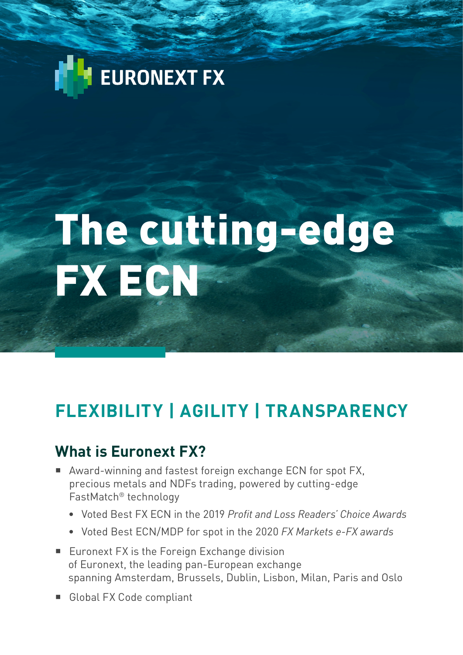## EURONEXT FX

# The cutting-edge FX ECN

## **FLEXIBILITY | AGILITY | TRANSPARENCY**

#### **What is Euronext FX?**

- Award-winning and fastest foreign exchange ECN for spot FX, precious metals and NDFs trading, powered by cutting-edge FastMatch® technology
	- Voted Best FX ECN in the 2019 *Profit and Loss Readers' Choice Awards*
	- Voted Best ECN/MDP for spot in the 2020 *FX Markets e-FX awards*
- Euronext FX is the Foreign Exchange division of Euronext, the leading pan-European exchange spanning Amsterdam, Brussels, Dublin, Lisbon, Milan, Paris and Oslo
- Global FX Code compliant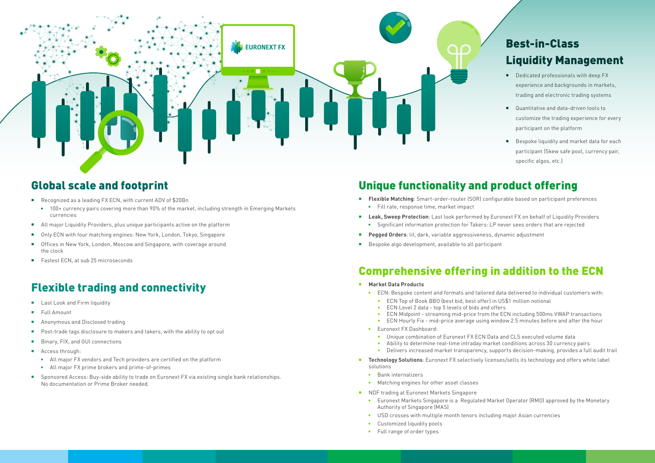#### Flexible trading and connectivity

- Last Look and Firm liquidity
- **Full Amount**
- **Anonymous and Disclosed trading**
- Post-trade tags disclosure to makers and takers, with the ability to opt out
- Binary, FIX, and GUI connections
- **Access through:** 
	- All major FX vendors and Tech providers are certified on the platform
	- All major FX prime brokers and prime-of-primes
- Sponsored Access: Buy-side ability to trade on Euronext FX via existing single bank relationships. No documentation or Prime Broker needed.
- **Flexible Matching**: Smart-order-router (SOR) configurable based on participant preferences
	- Fill rate, response time, market impact
- **Leak, Sweep Protection**: Last look performed by Euronext FX on behalf of Liquidity Providers
- Significant information protection for Takers: LP never sees orders that are rejected
- **Pegged Orders**: lit, dark, variable aggressiveness, dynamic adjustment
- Bespoke algo development, available to all participant



#### Global scale and footprint

- Recognized as a leading FX ECN, with current ADV of \$20Bn
	- 100+ currency pairs covering more than 90% of the market, including strength in Emerging Markets currencies
- All major Liquidity Providers, plus unique participants active on the platform
- Only ECN with four matching engines: New York, London, Tokyo, Singapore
- Offices in New York, London, Moscow and Singapore, with coverage around the clock
- Fastest ECN, at sub 25 microseconds

#### Unique functionality and product offering

#### Comprehensive offering in addition to the ECN

- Dedicated professionals with deep FX experience and backgrounds in markets, trading and electronic trading systems
- Quantitative and data-driven tools to customize the trading experience for every participant on the platform
- Bespoke liquidity and market data for each participant (Skew safe pool, currency pair, specific algos, etc.)

- **Market Data Products**
	- ECN: Bespoke content and formats and tailored data delivered to individual customers with: • ECN Top of Book BBO (best bid, best offer) in US\$1 million notional
- - ECN Level 2 data top 5 levels of bids and offers
	- ECN Midpoint streaming mid-price from the ECN including 500ms VWAP transactions • ECN Hourly Fix - mid-price average using window 2.5 minutes before and after the hour
	-
	- Euronext FX Dashboard:
		- Unique combination of Euronext FX ECN Data and CLS executed volume data • Ability to determine real-time intraday market conditions across 30 currency pairs • Delivers increased market transparency, supports decision-making, provides a full audit trail
		-
		-
- **Technology Solutions**: Euronext FX selectively licenses/sells its technology and offers white label solutions
	- Bank internalizers
	- Matching engines for other asset classes
- NDF trading at Euronext Markets Singapore
	- Euronext Markets Singapore is a Regulated Market Operator (RMO) approved by the Monetary Authority of Singapore (MAS)
	- USD crosses with multiple month tenors including major Asian currencies
	- Customized liquidity pools
	- Full range of order types

#### Best-in-Class Liquidity Management